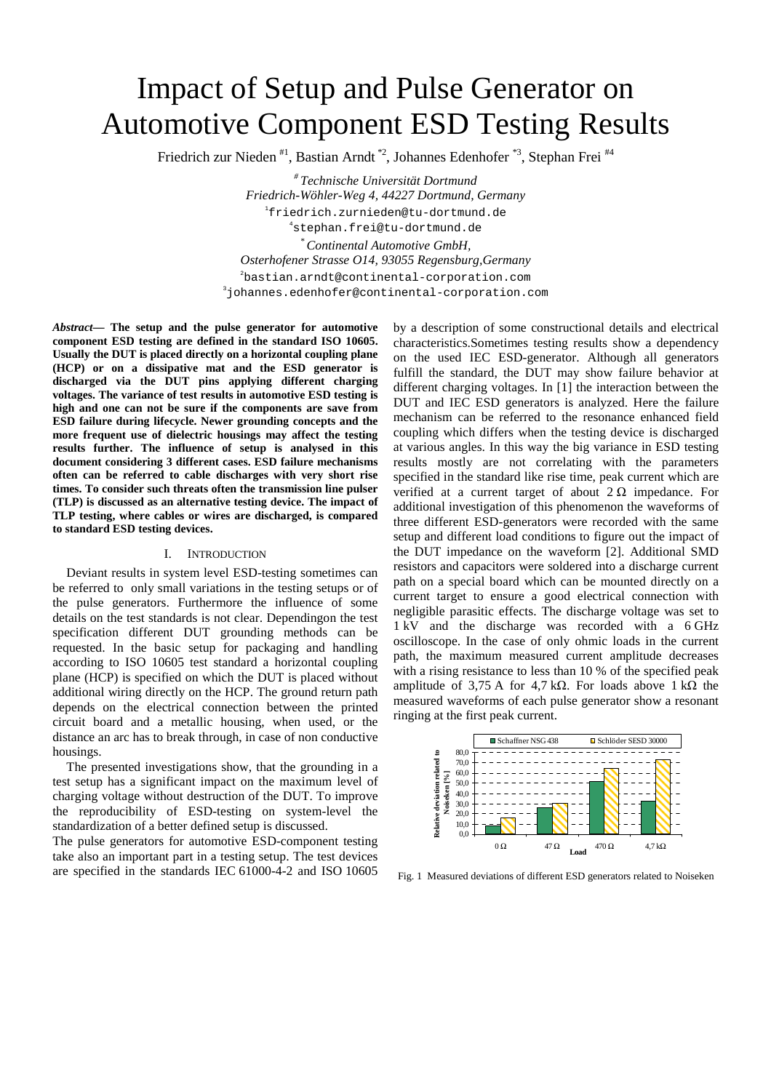# Impact of Setup and Pulse Generator on Automotive Component ESD Testing Results

Friedrich zur Nieden #1, Bastian Arndt \*2, Johannes Edenhofer \*3, Stephan Frei #4

*# Technische Universität Dortmund Friedrich-Wöhler-Weg 4, 44227 Dortmund, Germany*  1 friedrich.zurnieden@tu-dortmund.de 4 stephan.frei@tu-dortmund.de *\* Continental Automotive GmbH, Osterhofener Strasse O14, 93055 Regensburg,Germany*  2 bastian.arndt@continental-corporation.com 3 johannes.edenhofer@continental-corporation.com

*Abstract***— The setup and the pulse generator for automotive component ESD testing are defined in the standard ISO 10605. Usually the DUT is placed directly on a horizontal coupling plane (HCP) or on a dissipative mat and the ESD generator is discharged via the DUT pins applying different charging voltages. The variance of test results in automotive ESD testing is high and one can not be sure if the components are save from ESD failure during lifecycle. Newer grounding concepts and the more frequent use of dielectric housings may affect the testing results further. The influence of setup is analysed in this document considering 3 different cases. ESD failure mechanisms often can be referred to cable discharges with very short rise times. To consider such threats often the transmission line pulser (TLP) is discussed as an alternative testing device. The impact of TLP testing, where cables or wires are discharged, is compared to standard ESD testing devices.** 

#### I. INTRODUCTION

Deviant results in system level ESD-testing sometimes can be referred to only small variations in the testing setups or of the pulse generators. Furthermore the influence of some details on the test standards is not clear. Dependingon the test specification different DUT grounding methods can be requested. In the basic setup for packaging and handling according to ISO 10605 test standard a horizontal coupling plane (HCP) is specified on which the DUT is placed without additional wiring directly on the HCP. The ground return path depends on the electrical connection between the printed circuit board and a metallic housing, when used, or the distance an arc has to break through, in case of non conductive housings.

The presented investigations show, that the grounding in a test setup has a significant impact on the maximum level of charging voltage without destruction of the DUT. To improve the reproducibility of ESD-testing on system-level the standardization of a better defined setup is discussed.

The pulse generators for automotive ESD-component testing take also an important part in a testing setup. The test devices are specified in the standards IEC 61000-4-2 and ISO 10605 by a description of some constructional details and electrical characteristics.Sometimes testing results show a dependency on the used IEC ESD-generator. Although all generators fulfill the standard, the DUT may show failure behavior at different charging voltages. In [1] the interaction between the DUT and IEC ESD generators is analyzed. Here the failure mechanism can be referred to the resonance enhanced field coupling which differs when the testing device is discharged at various angles. In this way the big variance in ESD testing results mostly are not correlating with the parameters specified in the standard like rise time, peak current which are verified at a current target of about  $2 \Omega$  impedance. For additional investigation of this phenomenon the waveforms of three different ESD-generators were recorded with the same setup and different load conditions to figure out the impact of the DUT impedance on the waveform [2]. Additional SMD resistors and capacitors were soldered into a discharge current path on a special board which can be mounted directly on a current target to ensure a good electrical connection with negligible parasitic effects. The discharge voltage was set to 1 kV and the discharge was recorded with a 6 GHz oscilloscope. In the case of only ohmic loads in the current path, the maximum measured current amplitude decreases with a rising resistance to less than 10 % of the specified peak amplitude of 3,75 A for 4,7 kΩ. For loads above 1 kΩ the measured waveforms of each pulse generator show a resonant ringing at the first peak current.



Fig. 1 Measured deviations of different ESD generators related to Noiseken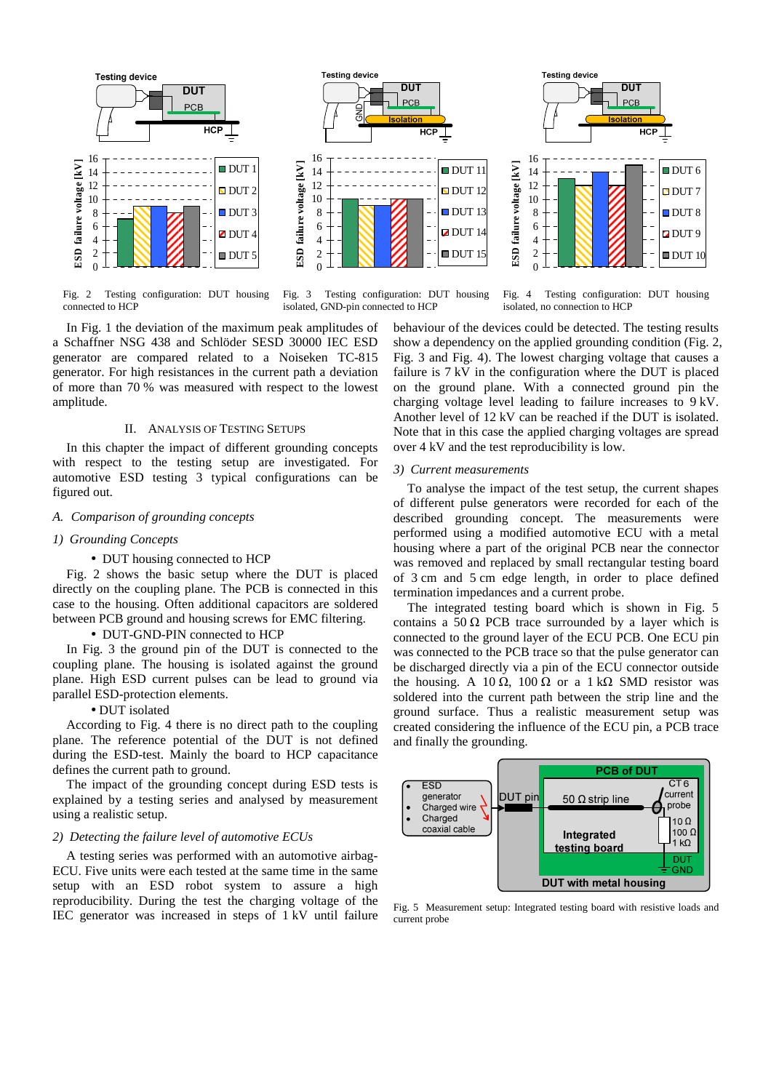

Fig. 2 Testing configuration: DUT housing connected to HCP



Fig. 3 Testing configuration: DUT housing isolated, GND-pin connected to HCP

Fig. 4 Testing configuration: DUT housing isolated, no connection to HCP

ווח

**PCB** 

 $DUT 6$  $\Box$  DUT 7  $DUT8$  $2$  DUT 9  $DUT$  10

In Fig. 1 the deviation of the maximum peak amplitudes of a Schaffner NSG 438 and Schlöder SESD 30000 IEC ESD generator are compared related to a Noiseken TC-815 generator. For high resistances in the current path a deviation of more than 70 % was measured with respect to the lowest amplitude.

## II. ANALYSIS OF TESTING SETUPS

In this chapter the impact of different grounding concepts with respect to the testing setup are investigated. For automotive ESD testing 3 typical configurations can be figured out.

## *A. Comparison of grounding concepts*

#### *1) Grounding Concepts*

• DUT housing connected to HCP

Fig. 2 shows the basic setup where the DUT is placed directly on the coupling plane. The PCB is connected in this case to the housing. Often additional capacitors are soldered between PCB ground and housing screws for EMC filtering.

## • DUT-GND-PIN connected to HCP

In Fig. 3 the ground pin of the DUT is connected to the coupling plane. The housing is isolated against the ground plane. High ESD current pulses can be lead to ground via parallel ESD-protection elements.

## • DUT isolated

According to Fig. 4 there is no direct path to the coupling plane. The reference potential of the DUT is not defined during the ESD-test. Mainly the board to HCP capacitance defines the current path to ground.

The impact of the grounding concept during ESD tests is explained by a testing series and analysed by measurement using a realistic setup.

## *2) Detecting the failure level of automotive ECUs*

A testing series was performed with an automotive airbag-ECU. Five units were each tested at the same time in the same setup with an ESD robot system to assure a high reproducibility. During the test the charging voltage of the IEC generator was increased in steps of 1 kV until failure behaviour of the devices could be detected. The testing results show a dependency on the applied grounding condition (Fig. 2, Fig. 3 and Fig. 4). The lowest charging voltage that causes a failure is 7 kV in the configuration where the DUT is placed on the ground plane. With a connected ground pin the charging voltage level leading to failure increases to 9 kV. Another level of 12 kV can be reached if the DUT is isolated. Note that in this case the applied charging voltages are spread over 4 kV and the test reproducibility is low.

**Testing device** 

**ESD failure voltage [kV]**

ESD failure voltage [kV]

#### *3) Current measurements*

To analyse the impact of the test setup, the current shapes of different pulse generators were recorded for each of the described grounding concept. The measurements were performed using a modified automotive ECU with a metal housing where a part of the original PCB near the connector was removed and replaced by small rectangular testing board of 3 cm and 5 cm edge length, in order to place defined termination impedances and a current probe.

The integrated testing board which is shown in Fig. 5 contains a 50  $\Omega$  PCB trace surrounded by a layer which is connected to the ground layer of the ECU PCB. One ECU pin was connected to the PCB trace so that the pulse generator can be discharged directly via a pin of the ECU connector outside the housing. A 10 Ω, 100 Ω or a 1 kΩ SMD resistor was soldered into the current path between the strip line and the ground surface. Thus a realistic measurement setup was created considering the influence of the ECU pin, a PCB trace and finally the grounding.



Fig. 5 Measurement setup: Integrated testing board with resistive loads and current probe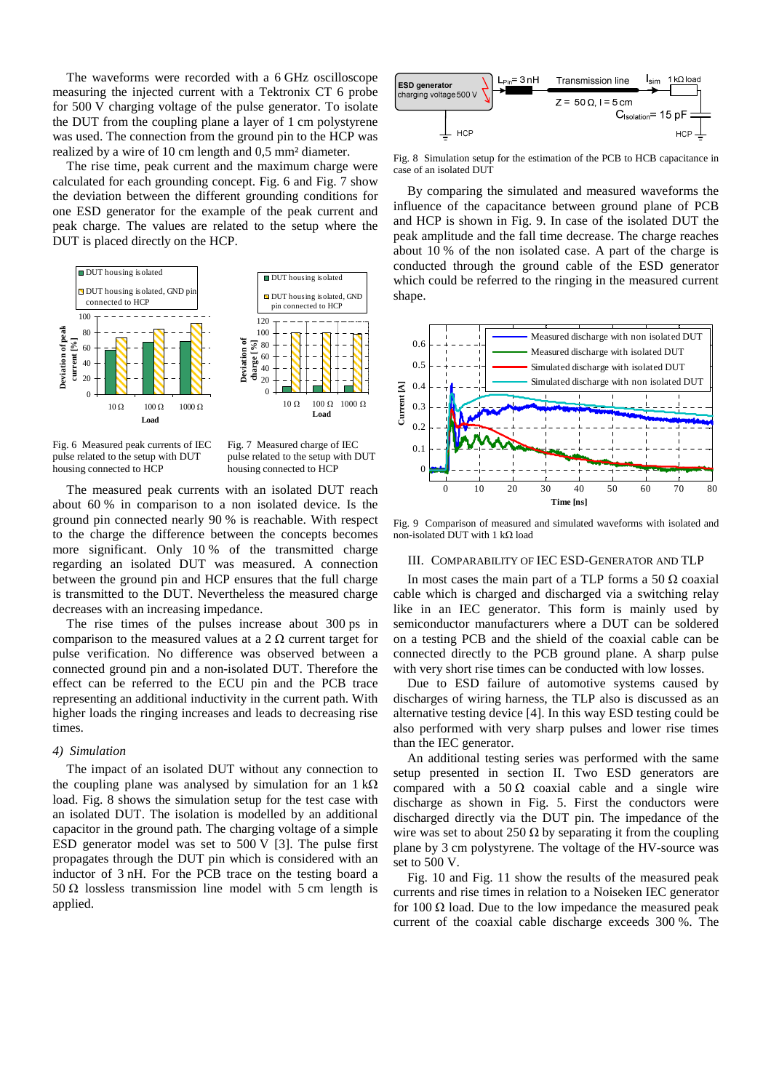The waveforms were recorded with a 6 GHz oscilloscope measuring the injected current with a Tektronix CT 6 probe for 500 V charging voltage of the pulse generator. To isolate the DUT from the coupling plane a layer of 1 cm polystyrene was used. The connection from the ground pin to the HCP was realized by a wire of 10 cm length and 0,5 mm² diameter.

The rise time, peak current and the maximum charge were calculated for each grounding concept. Fig. 6 and Fig. 7 show the deviation between the different grounding conditions for one ESD generator for the example of the peak current and peak charge. The values are related to the setup where the DUT is placed directly on the HCP.



Fig. 6 Measured peak currents of IEC pulse related to the setup with DUT housing connected to HCP

Fig. 7 Measured charge of IEC pulse related to the setup with DUT housing connected to HCP

The measured peak currents with an isolated DUT reach about 60 % in comparison to a non isolated device. Is the ground pin connected nearly 90 % is reachable. With respect to the charge the difference between the concepts becomes more significant. Only 10 % of the transmitted charge regarding an isolated DUT was measured. A connection between the ground pin and HCP ensures that the full charge is transmitted to the DUT. Nevertheless the measured charge decreases with an increasing impedance.

The rise times of the pulses increase about 300 ps in comparison to the measured values at a  $2 \Omega$  current target for pulse verification. No difference was observed between a connected ground pin and a non-isolated DUT. Therefore the effect can be referred to the ECU pin and the PCB trace representing an additional inductivity in the current path. With higher loads the ringing increases and leads to decreasing rise times.

#### *4) Simulation*

The impact of an isolated DUT without any connection to the coupling plane was analysed by simulation for an  $1 \text{ k}\Omega$ load. Fig. 8 shows the simulation setup for the test case with an isolated DUT. The isolation is modelled by an additional capacitor in the ground path. The charging voltage of a simple ESD generator model was set to 500 V [3]. The pulse first propagates through the DUT pin which is considered with an inductor of 3 nH. For the PCB trace on the testing board a 50 Ω lossless transmission line model with 5 cm length is applied.



Fig. 8 Simulation setup for the estimation of the PCB to HCB capacitance in case of an isolated DUT

By comparing the simulated and measured waveforms the influence of the capacitance between ground plane of PCB and HCP is shown in Fig. 9. In case of the isolated DUT the peak amplitude and the fall time decrease. The charge reaches about 10 % of the non isolated case. A part of the charge is conducted through the ground cable of the ESD generator which could be referred to the ringing in the measured current shape.



Fig. 9 Comparison of measured and simulated waveforms with isolated and non-isolated DUT with 1 kΩ load

## III. COMPARABILITY OF IEC ESD-GENERATOR AND TLP

In most cases the main part of a TLP forms a 50  $\Omega$  coaxial cable which is charged and discharged via a switching relay like in an IEC generator. This form is mainly used by semiconductor manufacturers where a DUT can be soldered on a testing PCB and the shield of the coaxial cable can be connected directly to the PCB ground plane. A sharp pulse with very short rise times can be conducted with low losses.

Due to ESD failure of automotive systems caused by discharges of wiring harness, the TLP also is discussed as an alternative testing device [4]. In this way ESD testing could be also performed with very sharp pulses and lower rise times than the IEC generator.

An additional testing series was performed with the same setup presented in section II. Two ESD generators are compared with a 50  $\Omega$  coaxial cable and a single wire discharge as shown in Fig. 5. First the conductors were discharged directly via the DUT pin. The impedance of the wire was set to about 250  $\Omega$  by separating it from the coupling plane by 3 cm polystyrene. The voltage of the HV-source was set to 500 V.

Fig. 10 and Fig. 11 show the results of the measured peak currents and rise times in relation to a Noiseken IEC generator for 100  $\Omega$  load. Due to the low impedance the measured peak current of the coaxial cable discharge exceeds 300 %. The